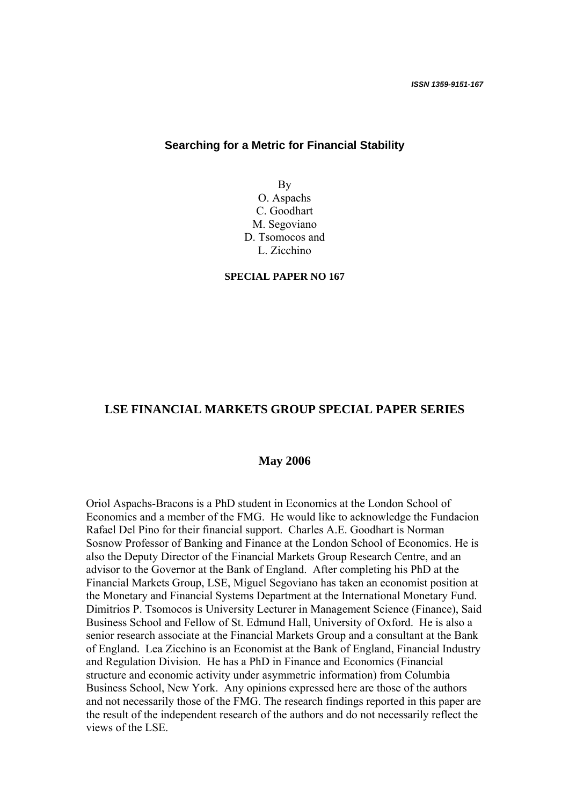#### **Searching for a Metric for Financial Stability**

By O. Aspachs C. Goodhart M. Segoviano D. Tsomocos and L. Zicchino

**SPECIAL PAPER NO 167** 

## **LSE FINANCIAL MARKETS GROUP SPECIAL PAPER SERIES**

#### **May 2006**

Oriol Aspachs-Bracons is a PhD student in Economics at the London School of Economics and a member of the FMG. He would like to acknowledge the Fundacion Rafael Del Pino for their financial support. Charles A.E. Goodhart is Norman Sosnow Professor of Banking and Finance at the London School of Economics. He is also the Deputy Director of the Financial Markets Group Research Centre, and an advisor to the Governor at the Bank of England. After completing his PhD at the Financial Markets Group, LSE, Miguel Segoviano has taken an economist position at the Monetary and Financial Systems Department at the International Monetary Fund. Dimitrios P. Tsomocos is University Lecturer in Management Science (Finance), Said Business School and Fellow of St. Edmund Hall, University of Oxford. He is also a senior research associate at the Financial Markets Group and a consultant at the Bank of England. Lea Zicchino is an Economist at the Bank of England, Financial Industry and Regulation Division. He has a PhD in Finance and Economics (Financial structure and economic activity under asymmetric information) from Columbia Business School, New York. Any opinions expressed here are those of the authors and not necessarily those of the FMG. The research findings reported in this paper are the result of the independent research of the authors and do not necessarily reflect the views of the LSE.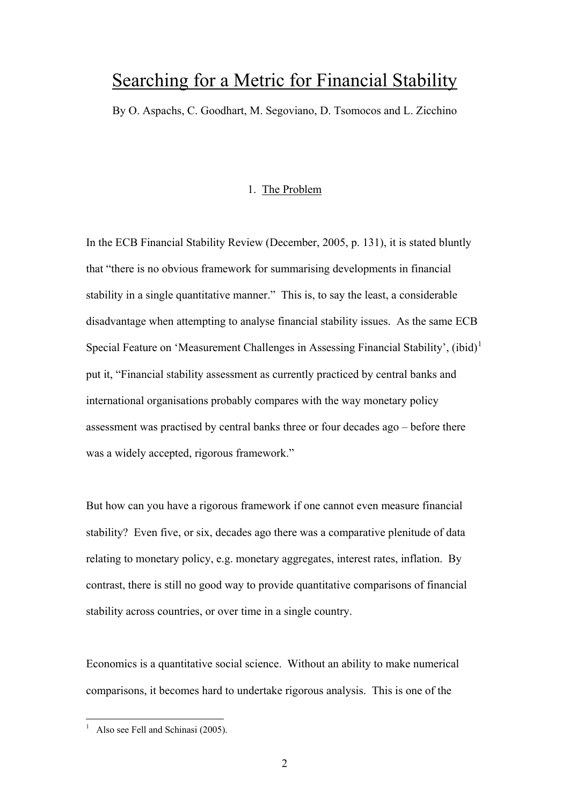# Searching for a Metric for Financial Stability

By O. Aspachs, C. Goodhart, M. Segoviano, D. Tsomocos and L. Zicchino

## 1. The Problem

In the ECB Financial Stability Review (December, 2005, p. 131), it is stated bluntly that "there is no obvious framework for summarising developments in financial stability in a single quantitative manner." This is, to say the least, a considerable disadvantage when attempting to analyse financial stability issues. As the same ECB Special Feature on 'Measurement Challenges in Assessing Financial Stability', (ibid)<sup>[1](#page-1-0)</sup> put it, "Financial stability assessment as currently practiced by central banks and international organisations probably compares with the way monetary policy assessment was practised by central banks three or four decades ago – before there was a widely accepted, rigorous framework."

But how can you have a rigorous framework if one cannot even measure financial stability? Even five, or six, decades ago there was a comparative plenitude of data relating to monetary policy, e.g. monetary aggregates, interest rates, inflation. By contrast, there is still no good way to provide quantitative comparisons of financial stability across countries, or over time in a single country.

Economics is a quantitative social science. Without an ability to make numerical comparisons, it becomes hard to undertake rigorous analysis. This is one of the

<span id="page-1-0"></span><sup>&</sup>lt;sup>1</sup> Also see Fell and Schinasi (2005).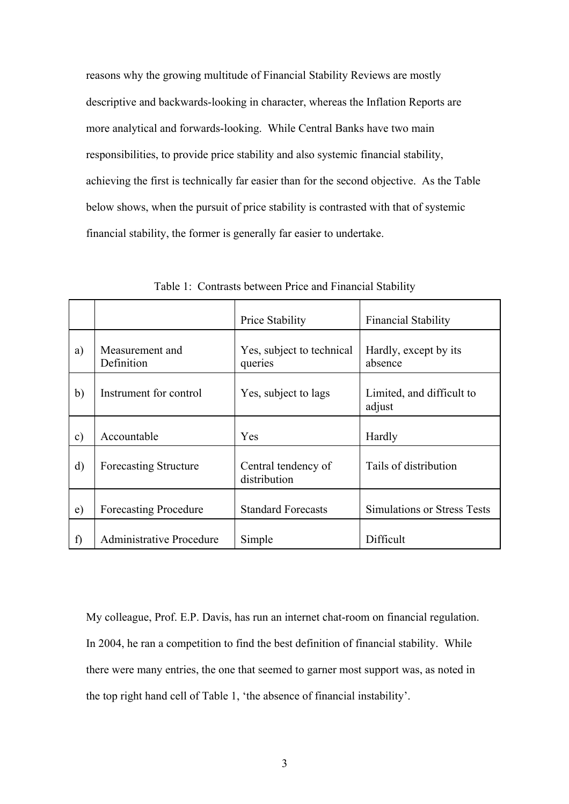reasons why the growing multitude of Financial Stability Reviews are mostly descriptive and backwards-looking in character, whereas the Inflation Reports are more analytical and forwards-looking. While Central Banks have two main responsibilities, to provide price stability and also systemic financial stability, achieving the first is technically far easier than for the second objective. As the Table below shows, when the pursuit of price stability is contrasted with that of systemic financial stability, the former is generally far easier to undertake.

|               |                                 | Price Stability                      | <b>Financial Stability</b>          |
|---------------|---------------------------------|--------------------------------------|-------------------------------------|
| a)            | Measurement and<br>Definition   | Yes, subject to technical<br>queries | Hardly, except by its<br>absence    |
| b)            | Instrument for control          | Yes, subject to lags                 | Limited, and difficult to<br>adjust |
| $\mathbf{c})$ | Accountable                     | Yes                                  | Hardly                              |
| $\rm d$       | <b>Forecasting Structure</b>    | Central tendency of<br>distribution  | Tails of distribution               |
| e)            | <b>Forecasting Procedure</b>    | <b>Standard Forecasts</b>            | <b>Simulations or Stress Tests</b>  |
| $\hat{D}$     | <b>Administrative Procedure</b> | Simple                               | Difficult                           |

Table 1: Contrasts between Price and Financial Stability

My colleague, Prof. E.P. Davis, has run an internet chat-room on financial regulation. In 2004, he ran a competition to find the best definition of financial stability. While there were many entries, the one that seemed to garner most support was, as noted in the top right hand cell of Table 1, 'the absence of financial instability'.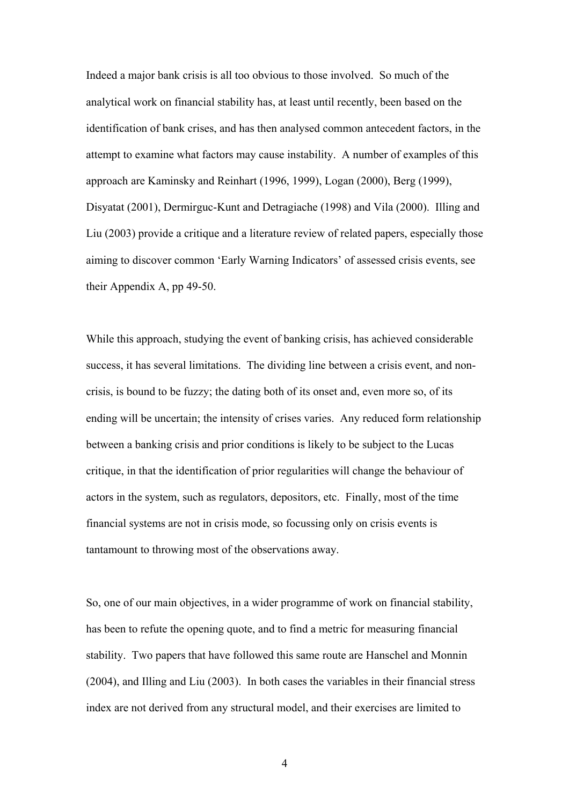Indeed a major bank crisis is all too obvious to those involved. So much of the analytical work on financial stability has, at least until recently, been based on the identification of bank crises, and has then analysed common antecedent factors, in the attempt to examine what factors may cause instability. A number of examples of this approach are Kaminsky and Reinhart (1996, 1999), Logan (2000), Berg (1999), Disyatat (2001), Dermirguc-Kunt and Detragiache (1998) and Vila (2000). Illing and Liu (2003) provide a critique and a literature review of related papers, especially those aiming to discover common 'Early Warning Indicators' of assessed crisis events, see their Appendix A, pp 49-50.

While this approach, studying the event of banking crisis, has achieved considerable success, it has several limitations. The dividing line between a crisis event, and noncrisis, is bound to be fuzzy; the dating both of its onset and, even more so, of its ending will be uncertain; the intensity of crises varies. Any reduced form relationship between a banking crisis and prior conditions is likely to be subject to the Lucas critique, in that the identification of prior regularities will change the behaviour of actors in the system, such as regulators, depositors, etc. Finally, most of the time financial systems are not in crisis mode, so focussing only on crisis events is tantamount to throwing most of the observations away.

So, one of our main objectives, in a wider programme of work on financial stability, has been to refute the opening quote, and to find a metric for measuring financial stability. Two papers that have followed this same route are Hanschel and Monnin (2004), and Illing and Liu (2003). In both cases the variables in their financial stress index are not derived from any structural model, and their exercises are limited to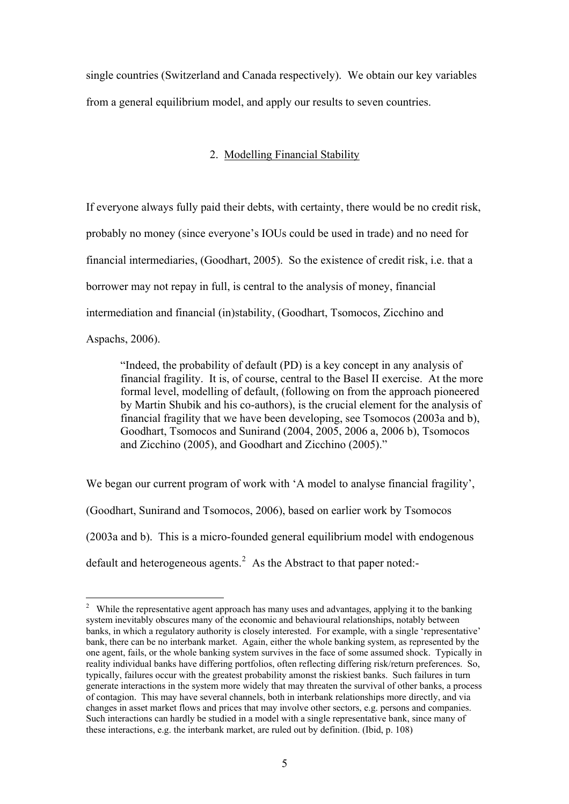single countries (Switzerland and Canada respectively). We obtain our key variables from a general equilibrium model, and apply our results to seven countries.

## 2. Modelling Financial Stability

If everyone always fully paid their debts, with certainty, there would be no credit risk, probably no money (since everyone's IOUs could be used in trade) and no need for financial intermediaries, (Goodhart, 2005). So the existence of credit risk, i.e. that a borrower may not repay in full, is central to the analysis of money, financial intermediation and financial (in)stability, (Goodhart, Tsomocos, Zicchino and Aspachs, 2006).

 "Indeed, the probability of default (PD) is a key concept in any analysis of financial fragility. It is, of course, central to the Basel II exercise. At the more formal level, modelling of default, (following on from the approach pioneered by Martin Shubik and his co-authors), is the crucial element for the analysis of financial fragility that we have been developing, see Tsomocos (2003a and b), Goodhart, Tsomocos and Sunirand (2004, 2005, 2006 a, 2006 b), Tsomocos and Zicchino (2005), and Goodhart and Zicchino (2005)."

We began our current program of work with 'A model to analyse financial fragility', (Goodhart, Sunirand and Tsomocos, 2006), based on earlier work by Tsomocos (2003a and b). This is a micro-founded general equilibrium model with endogenous default and heterogeneous agents. $2$  As the Abstract to that paper noted:-

 $\overline{a}$ 

<span id="page-4-0"></span><sup>2</sup> While the representative agent approach has many uses and advantages, applying it to the banking system inevitably obscures many of the economic and behavioural relationships, notably between banks, in which a regulatory authority is closely interested. For example, with a single 'representative' bank, there can be no interbank market. Again, either the whole banking system, as represented by the one agent, fails, or the whole banking system survives in the face of some assumed shock. Typically in reality individual banks have differing portfolios, often reflecting differing risk/return preferences. So, typically, failures occur with the greatest probability amonst the riskiest banks. Such failures in turn generate interactions in the system more widely that may threaten the survival of other banks, a process of contagion. This may have several channels, both in interbank relationships more directly, and via changes in asset market flows and prices that may involve other sectors, e.g. persons and companies. Such interactions can hardly be studied in a model with a single representative bank, since many of these interactions, e.g. the interbank market, are ruled out by definition. (Ibid, p. 108)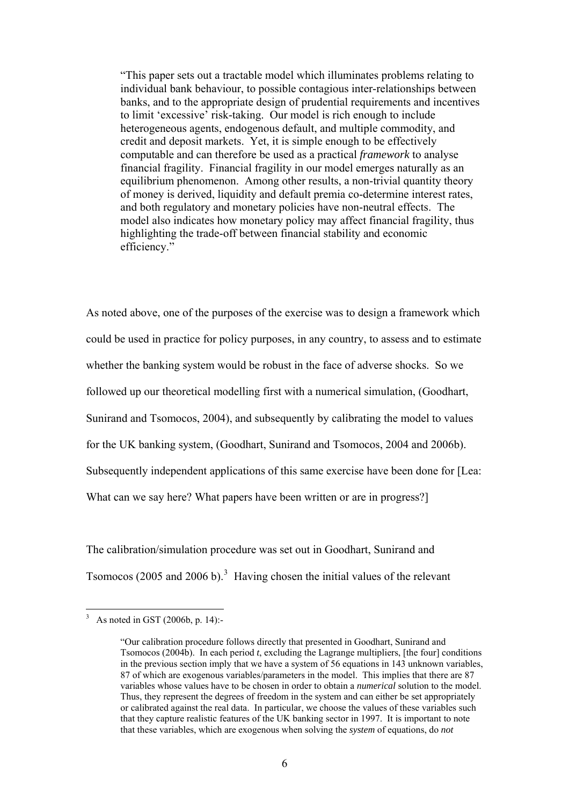"This paper sets out a tractable model which illuminates problems relating to individual bank behaviour, to possible contagious inter-relationships between banks, and to the appropriate design of prudential requirements and incentives to limit 'excessive' risk-taking. Our model is rich enough to include heterogeneous agents, endogenous default, and multiple commodity, and credit and deposit markets. Yet, it is simple enough to be effectively computable and can therefore be used as a practical *framework* to analyse financial fragility. Financial fragility in our model emerges naturally as an equilibrium phenomenon. Among other results, a non-trivial quantity theory of money is derived, liquidity and default premia co-determine interest rates, and both regulatory and monetary policies have non-neutral effects. The model also indicates how monetary policy may affect financial fragility, thus highlighting the trade-off between financial stability and economic efficiency."

As noted above, one of the purposes of the exercise was to design a framework which could be used in practice for policy purposes, in any country, to assess and to estimate whether the banking system would be robust in the face of adverse shocks. So we followed up our theoretical modelling first with a numerical simulation, (Goodhart, Sunirand and Tsomocos, 2004), and subsequently by calibrating the model to values for the UK banking system, (Goodhart, Sunirand and Tsomocos, 2004 and 2006b). Subsequently independent applications of this same exercise have been done for [Lea: What can we say here? What papers have been written or are in progress?

The calibration/simulation procedure was set out in Goodhart, Sunirand and Tsomocos (2005 and 2006 b).<sup>[3](#page-5-0)</sup> Having chosen the initial values of the relevant

<span id="page-5-0"></span><sup>&</sup>lt;sup>3</sup> As noted in GST (2006b, p. 14):-

 <sup>&</sup>quot;Our calibration procedure follows directly that presented in Goodhart, Sunirand and Tsomocos (2004b). In each period *t*, excluding the Lagrange multipliers, [the four] conditions in the previous section imply that we have a system of 56 equations in 143 unknown variables, 87 of which are exogenous variables/parameters in the model. This implies that there are 87 variables whose values have to be chosen in order to obtain a *numerical* solution to the model. Thus, they represent the degrees of freedom in the system and can either be set appropriately or calibrated against the real data. In particular, we choose the values of these variables such that they capture realistic features of the UK banking sector in 1997. It is important to note that these variables, which are exogenous when solving the *system* of equations, do *not*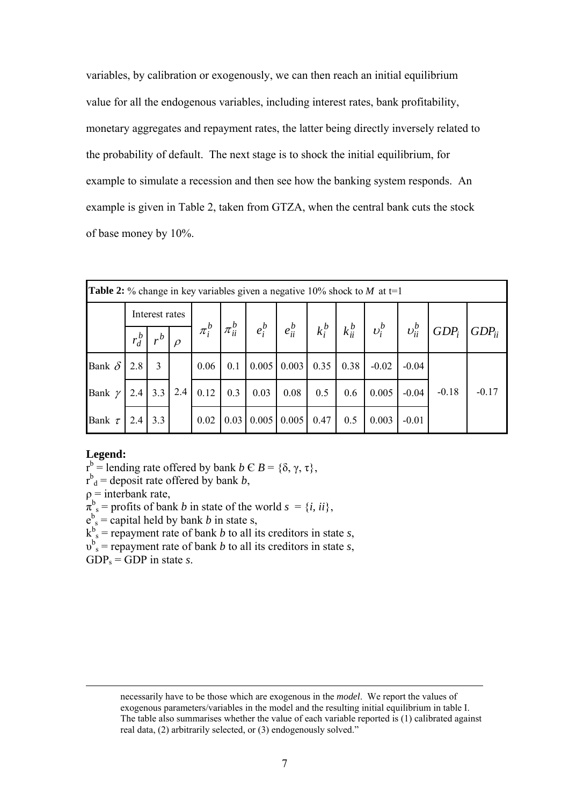variables, by calibration or exogenously, we can then reach an initial equilibrium value for all the endogenous variables, including interest rates, bank profitability, monetary aggregates and repayment rates, the latter being directly inversely related to the probability of default. The next stage is to shock the initial equilibrium, for example to simulate a recession and then see how the banking system responds. An example is given in Table 2, taken from GTZA, when the central bank cuts the stock of base money by 10%.

| <b>Table 2:</b> % change in key variables given a negative 10% shock to M at $t=1$ |                |                       |     |      |     |      |                                                      |      |     |                                                                                                                                             |         |         |            |
|------------------------------------------------------------------------------------|----------------|-----------------------|-----|------|-----|------|------------------------------------------------------|------|-----|---------------------------------------------------------------------------------------------------------------------------------------------|---------|---------|------------|
|                                                                                    | Interest rates |                       |     |      |     |      |                                                      |      |     |                                                                                                                                             |         |         |            |
|                                                                                    |                | $r_d^b \mid r^b \mid$ |     |      |     |      |                                                      |      |     | $\pi_i^b$ $\left  \pi_{ii}^b \right $ $e_i^b$ $\left  e_{ii}^b \right $ $k_i^b$ $\left  k_{ii}^b \right $ $v_i^b$ $\left  v_{ii}^b \right $ |         | $GDP_i$ | $GDP_{ii}$ |
| Bank $\delta$                                                                      | 2.8            | $\overline{3}$        |     | 0.06 |     |      | $0.1 \mid 0.005 \mid 0.003 \mid 0.35 \mid 0.38 \mid$ |      |     | $-0.02$                                                                                                                                     | $-0.04$ |         |            |
| Bank $\gamma$                                                                      | 2.4            | 3.3                   | 2.4 | 0.12 | 0.3 | 0.03 | 0.08                                                 | 0.5  | 0.6 | 0.005                                                                                                                                       | $-0.04$ | $-0.18$ | $-0.17$    |
| Bank $\tau$                                                                        | 2.4            | 3.3                   |     | 0.02 |     |      | $0.03 \mid 0.005 \mid 0.005 \mid$                    | 0.47 | 0.5 | 0.003                                                                                                                                       | $-0.01$ |         |            |

#### **Legend:**

 $r<sup>b</sup>$  = lending rate offered by bank *b*  $\in$  *B* = {δ, γ, τ},

 $r^{b}$ <sub>d</sub> = deposit rate offered by bank *b*,

 $p =$  interbank rate,

 $\pi^b$ <sub>s</sub> = profits of bank *b* in state of the world  $s = \{i, ii\}$ ,

e b  $\sum_{s}^{\infty}$  = capital held by bank *b* in state s,

 $k^b$ <sub>s</sub> = repayment rate of bank *b* to all its creditors in state *s*,

 $v^b$ <sub>s</sub> = repayment rate of bank *b* to all its creditors in state *s*,

 $GDP_s = GDP$  in state *s*.

necessarily have to be those which are exogenous in the *model*. We report the values of exogenous parameters/variables in the model and the resulting initial equilibrium in table I. The table also summarises whether the value of each variable reported is (1) calibrated against real data, (2) arbitrarily selected, or (3) endogenously solved."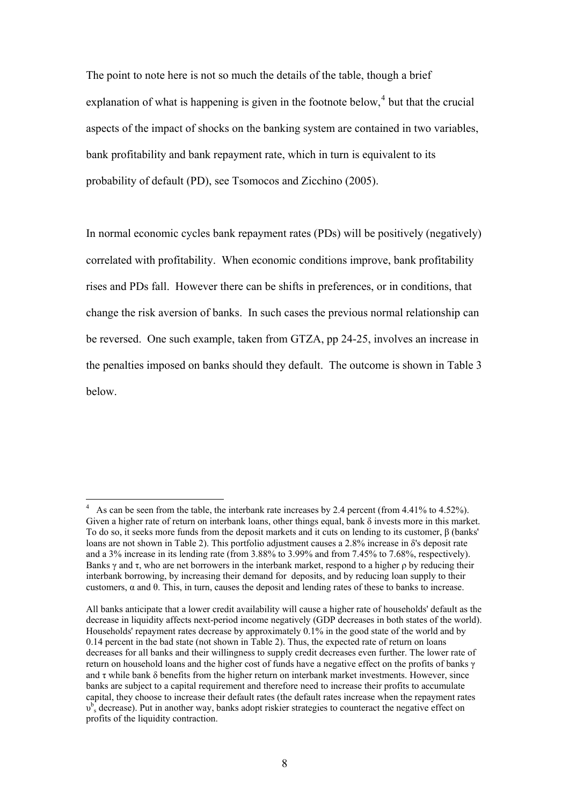The point to note here is not so much the details of the table, though a brief explanation of what is happening is given in the footnote below, $4$  but that the crucial aspects of the impact of shocks on the banking system are contained in two variables, bank profitability and bank repayment rate, which in turn is equivalent to its probability of default (PD), see Tsomocos and Zicchino (2005).

In normal economic cycles bank repayment rates (PDs) will be positively (negatively) correlated with profitability. When economic conditions improve, bank profitability rises and PDs fall. However there can be shifts in preferences, or in conditions, that change the risk aversion of banks. In such cases the previous normal relationship can be reversed. One such example, taken from GTZA, pp 24-25, involves an increase in the penalties imposed on banks should they default. The outcome is shown in Table 3 below.

 $\overline{a}$ 

<span id="page-7-0"></span><sup>4</sup> As can be seen from the table, the interbank rate increases by 2.4 percent (from 4.41% to 4.52%). Given a higher rate of return on interbank loans, other things equal, bank δ invests more in this market. To do so, it seeks more funds from the deposit markets and it cuts on lending to its customer, β (banks' loans are not shown in Table 2). This portfolio adjustment causes a 2.8% increase in δ's deposit rate and a 3% increase in its lending rate (from 3.88% to 3.99% and from 7.45% to 7.68%, respectively). Banks γ and τ, who are net borrowers in the interbank market, respond to a higher  $\rho$  by reducing their interbank borrowing, by increasing their demand for deposits, and by reducing loan supply to their customers,  $\alpha$  and  $\theta$ . This, in turn, causes the deposit and lending rates of these to banks to increase.

All banks anticipate that a lower credit availability will cause a higher rate of households' default as the decrease in liquidity affects next-period income negatively (GDP decreases in both states of the world). Households' repayment rates decrease by approximately 0.1% in the good state of the world and by 0.14 percent in the bad state (not shown in Table 2). Thus, the expected rate of return on loans decreases for all banks and their willingness to supply credit decreases even further. The lower rate of return on household loans and the higher cost of funds have a negative effect on the profits of banks γ and τ while bank δ benefits from the higher return on interbank market investments. However, since banks are subject to a capital requirement and therefore need to increase their profits to accumulate capital, they choose to increase their default rates (the default rates increase when the repayment rates  $v_s^b$  decrease). Put in another way, banks adopt riskier strategies to counteract the negative effect on profits of the liquidity contraction.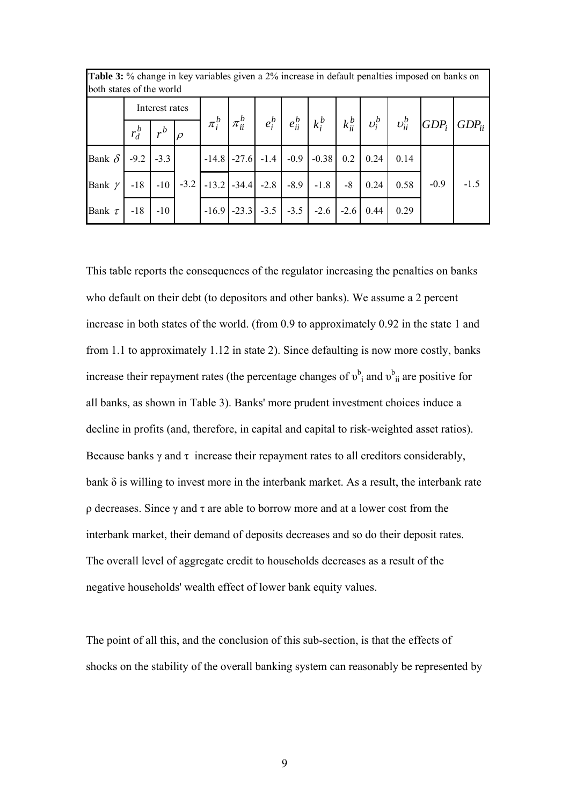| <b>Table 3:</b> % change in key variables given a 2% increase in default penalties imposed on banks on<br>both states of the world |         |                     |        |                        |                                                                                                                                                                                    |  |        |         |        |      |      |                  |            |
|------------------------------------------------------------------------------------------------------------------------------------|---------|---------------------|--------|------------------------|------------------------------------------------------------------------------------------------------------------------------------------------------------------------------------|--|--------|---------|--------|------|------|------------------|------------|
|                                                                                                                                    |         | Interest rates      |        |                        |                                                                                                                                                                                    |  |        |         |        |      |      |                  |            |
|                                                                                                                                    | $r_d^b$ | $r^{b}$   $\varrho$ |        | $\pi_i^b$              | $\left[ \begin{array}{c c} \pi_{ii}^b & e_i^b & e_{ii}^b & k_i^b & k_{ii}^b & v_i^b \end{array} \right] \left. \begin{array}{c c} v_i^b & v_{ii}^b & v_{ii}^b \end{array} \right.$ |  |        |         |        |      |      | GDP <sub>i</sub> | $GDP_{ii}$ |
| Bank $\delta$                                                                                                                      | $-9.2$  | $-3.3$              |        |                        | $-14.8$ $-27.6$ $-1.4$                                                                                                                                                             |  | $-0.9$ | $-0.38$ | 0.2    | 0.24 | 0.14 |                  |            |
| Bank $\gamma$                                                                                                                      | $-18$   | $-10$               | $-3.2$ | $-13.2$ $-34.4$ $-2.8$ |                                                                                                                                                                                    |  | $-8.9$ | $-1.8$  | $-8$   | 0.24 | 0.58 | $-0.9$           | $-1.5$     |
| Bank $\tau$                                                                                                                        | $-18$   | $-10$               |        | $-16.9$                | $-23.3$ $-3.5$                                                                                                                                                                     |  | $-3.5$ | $-2.6$  | $-2.6$ | 0.44 | 0.29 |                  |            |

This table reports the consequences of the regulator increasing the penalties on banks who default on their debt (to depositors and other banks). We assume a 2 percent increase in both states of the world. (from 0.9 to approximately 0.92 in the state 1 and from 1.1 to approximately 1.12 in state 2). Since defaulting is now more costly, banks increase their repayment rates (the percentage changes of  $v_{i}^{b}$  and  $v_{ii}^{b}$  are positive for all banks, as shown in Table 3). Banks' more prudent investment choices induce a decline in profits (and, therefore, in capital and capital to risk-weighted asset ratios). Because banks  $\gamma$  and  $\tau$  increase their repayment rates to all creditors considerably, bank  $\delta$  is willing to invest more in the interbank market. As a result, the interbank rate ρ decreases. Since γ and τ are able to borrow more and at a lower cost from the interbank market, their demand of deposits decreases and so do their deposit rates. The overall level of aggregate credit to households decreases as a result of the negative households' wealth effect of lower bank equity values.

The point of all this, and the conclusion of this sub-section, is that the effects of shocks on the stability of the overall banking system can reasonably be represented by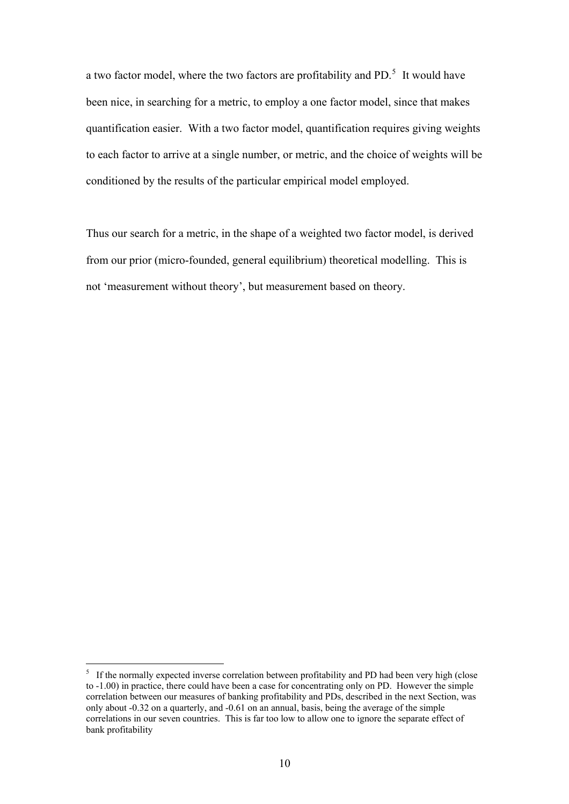a two factor model, where the two factors are profitability and PD.<sup>[5](#page-9-0)</sup> It would have been nice, in searching for a metric, to employ a one factor model, since that makes quantification easier. With a two factor model, quantification requires giving weights to each factor to arrive at a single number, or metric, and the choice of weights will be conditioned by the results of the particular empirical model employed.

Thus our search for a metric, in the shape of a weighted two factor model, is derived from our prior (micro-founded, general equilibrium) theoretical modelling. This is not 'measurement without theory', but measurement based on theory.

 $\overline{a}$ 

<span id="page-9-0"></span><sup>5</sup> If the normally expected inverse correlation between profitability and PD had been very high (close to -1.00) in practice, there could have been a case for concentrating only on PD. However the simple correlation between our measures of banking profitability and PDs, described in the next Section, was only about -0.32 on a quarterly, and -0.61 on an annual, basis, being the average of the simple correlations in our seven countries. This is far too low to allow one to ignore the separate effect of bank profitability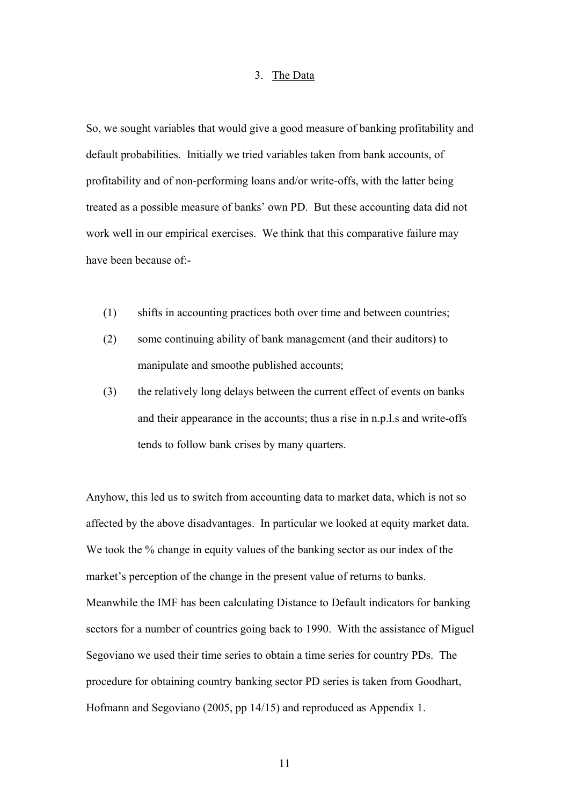#### 3. The Data

So, we sought variables that would give a good measure of banking profitability and default probabilities. Initially we tried variables taken from bank accounts, of profitability and of non-performing loans and/or write-offs, with the latter being treated as a possible measure of banks' own PD. But these accounting data did not work well in our empirical exercises. We think that this comparative failure may have been because of:-

- (1) shifts in accounting practices both over time and between countries;
- (2) some continuing ability of bank management (and their auditors) to manipulate and smoothe published accounts;
- (3) the relatively long delays between the current effect of events on banks and their appearance in the accounts; thus a rise in n.p.l.s and write-offs tends to follow bank crises by many quarters.

Anyhow, this led us to switch from accounting data to market data, which is not so affected by the above disadvantages. In particular we looked at equity market data. We took the % change in equity values of the banking sector as our index of the market's perception of the change in the present value of returns to banks. Meanwhile the IMF has been calculating Distance to Default indicators for banking sectors for a number of countries going back to 1990. With the assistance of Miguel Segoviano we used their time series to obtain a time series for country PDs. The procedure for obtaining country banking sector PD series is taken from Goodhart, Hofmann and Segoviano (2005, pp 14/15) and reproduced as Appendix 1.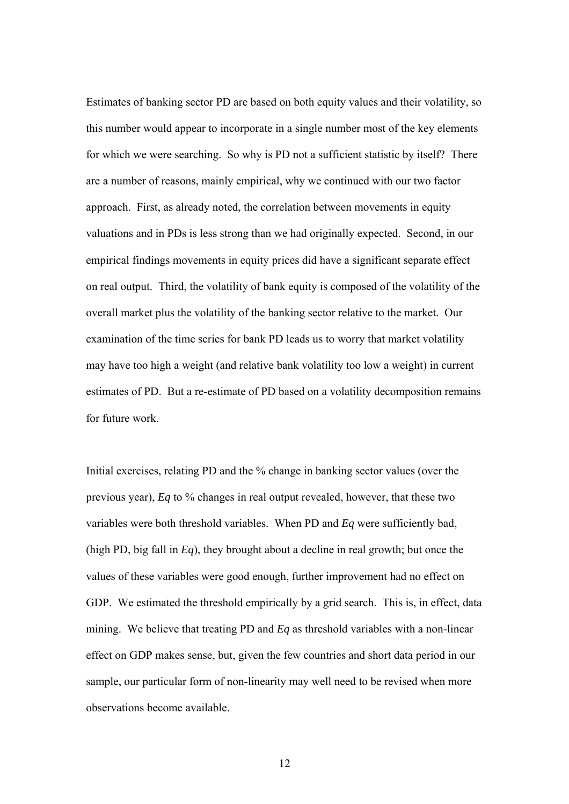Estimates of banking sector PD are based on both equity values and their volatility, so this number would appear to incorporate in a single number most of the key elements for which we were searching. So why is PD not a sufficient statistic by itself? There are a number of reasons, mainly empirical, why we continued with our two factor approach. First, as already noted, the correlation between movements in equity valuations and in PDs is less strong than we had originally expected. Second, in our empirical findings movements in equity prices did have a significant separate effect on real output. Third, the volatility of bank equity is composed of the volatility of the overall market plus the volatility of the banking sector relative to the market. Our examination of the time series for bank PD leads us to worry that market volatility may have too high a weight (and relative bank volatility too low a weight) in current estimates of PD. But a re-estimate of PD based on a volatility decomposition remains for future work.

Initial exercises, relating PD and the % change in banking sector values (over the previous year), *Eq* to % changes in real output revealed, however, that these two variables were both threshold variables. When PD and *Eq* were sufficiently bad, (high PD, big fall in *Eq*), they brought about a decline in real growth; but once the values of these variables were good enough, further improvement had no effect on GDP. We estimated the threshold empirically by a grid search. This is, in effect, data mining. We believe that treating PD and *Eq* as threshold variables with a non-linear effect on GDP makes sense, but, given the few countries and short data period in our sample, our particular form of non-linearity may well need to be revised when more observations become available.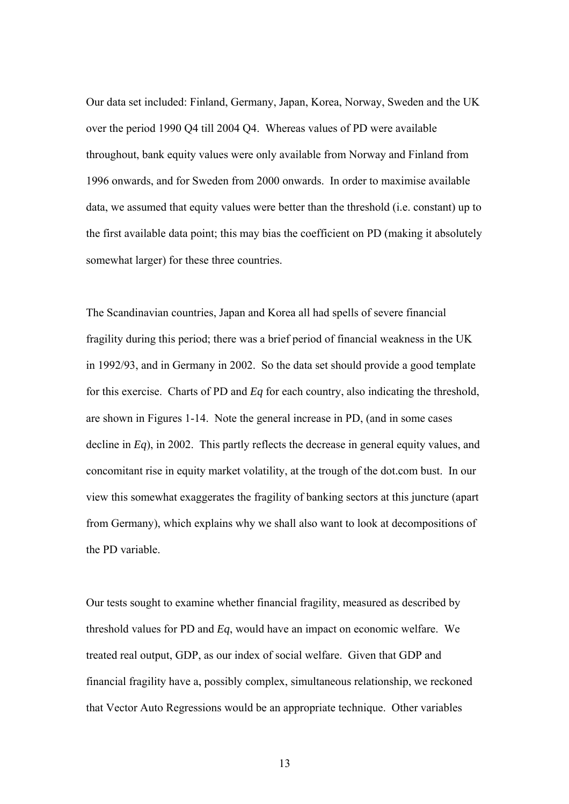Our data set included: Finland, Germany, Japan, Korea, Norway, Sweden and the UK over the period 1990 Q4 till 2004 Q4. Whereas values of PD were available throughout, bank equity values were only available from Norway and Finland from 1996 onwards, and for Sweden from 2000 onwards. In order to maximise available data, we assumed that equity values were better than the threshold (i.e. constant) up to the first available data point; this may bias the coefficient on PD (making it absolutely somewhat larger) for these three countries.

The Scandinavian countries, Japan and Korea all had spells of severe financial fragility during this period; there was a brief period of financial weakness in the UK in 1992/93, and in Germany in 2002. So the data set should provide a good template for this exercise. Charts of PD and *Eq* for each country, also indicating the threshold, are shown in Figures 1-14. Note the general increase in PD, (and in some cases decline in *Eq*), in 2002. This partly reflects the decrease in general equity values, and concomitant rise in equity market volatility, at the trough of the dot.com bust. In our view this somewhat exaggerates the fragility of banking sectors at this juncture (apart from Germany), which explains why we shall also want to look at decompositions of the PD variable.

Our tests sought to examine whether financial fragility, measured as described by threshold values for PD and *Eq*, would have an impact on economic welfare. We treated real output, GDP, as our index of social welfare. Given that GDP and financial fragility have a, possibly complex, simultaneous relationship, we reckoned that Vector Auto Regressions would be an appropriate technique. Other variables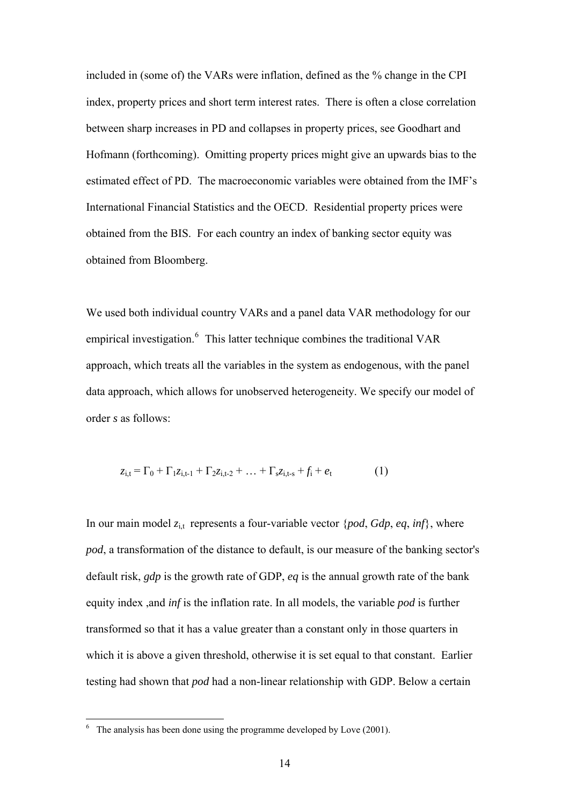included in (some of) the VARs were inflation, defined as the % change in the CPI index, property prices and short term interest rates. There is often a close correlation between sharp increases in PD and collapses in property prices, see Goodhart and Hofmann (forthcoming). Omitting property prices might give an upwards bias to the estimated effect of PD. The macroeconomic variables were obtained from the IMF's International Financial Statistics and the OECD. Residential property prices were obtained from the BIS. For each country an index of banking sector equity was obtained from Bloomberg.

We used both individual country VARs and a panel data VAR methodology for our empirical investigation.<sup>[6](#page-13-0)</sup> This latter technique combines the traditional VAR approach, which treats all the variables in the system as endogenous, with the panel data approach, which allows for unobserved heterogeneity. We specify our model of order *s* as follows:

$$
z_{i,t} = \Gamma_0 + \Gamma_1 z_{i,t-1} + \Gamma_2 z_{i,t-2} + \dots + \Gamma_s z_{i,t-s} + f_i + e_t \tag{1}
$$

In our main model  $z_{i,t}$  represents a four-variable vector {*pod*, *Gdp*, *eq*, *inf*}, where *pod*, a transformation of the distance to default, is our measure of the banking sector's default risk, *gdp* is the growth rate of GDP, *eq* is the annual growth rate of the bank equity index ,and *inf* is the inflation rate. In all models, the variable *pod* is further transformed so that it has a value greater than a constant only in those quarters in which it is above a given threshold, otherwise it is set equal to that constant. Earlier testing had shown that *pod* had a non-linear relationship with GDP. Below a certain

<span id="page-13-0"></span><sup>&</sup>lt;sup>6</sup> The analysis has been done using the programme developed by Love (2001).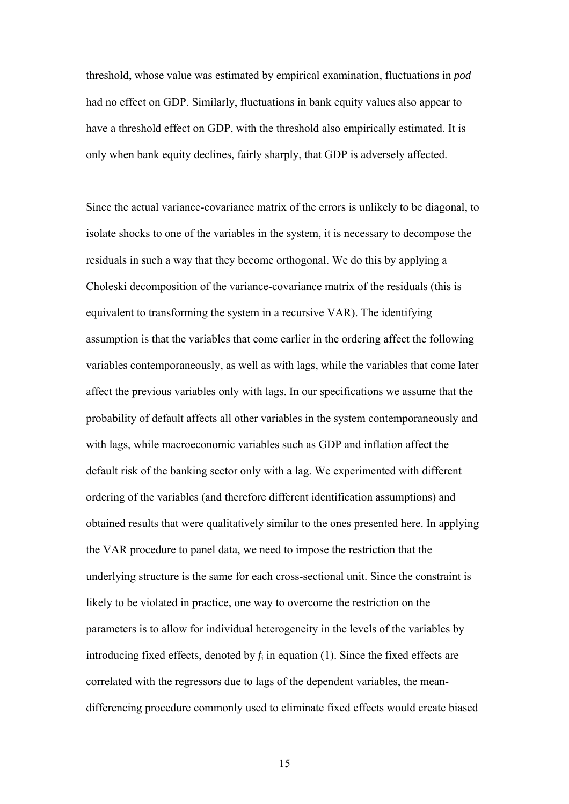threshold, whose value was estimated by empirical examination, fluctuations in *pod* had no effect on GDP. Similarly, fluctuations in bank equity values also appear to have a threshold effect on GDP, with the threshold also empirically estimated. It is only when bank equity declines, fairly sharply, that GDP is adversely affected.

Since the actual variance-covariance matrix of the errors is unlikely to be diagonal, to isolate shocks to one of the variables in the system, it is necessary to decompose the residuals in such a way that they become orthogonal. We do this by applying a Choleski decomposition of the variance-covariance matrix of the residuals (this is equivalent to transforming the system in a recursive VAR). The identifying assumption is that the variables that come earlier in the ordering affect the following variables contemporaneously, as well as with lags, while the variables that come later affect the previous variables only with lags. In our specifications we assume that the probability of default affects all other variables in the system contemporaneously and with lags, while macroeconomic variables such as GDP and inflation affect the default risk of the banking sector only with a lag. We experimented with different ordering of the variables (and therefore different identification assumptions) and obtained results that were qualitatively similar to the ones presented here. In applying the VAR procedure to panel data, we need to impose the restriction that the underlying structure is the same for each cross-sectional unit. Since the constraint is likely to be violated in practice, one way to overcome the restriction on the parameters is to allow for individual heterogeneity in the levels of the variables by introducing fixed effects, denoted by  $f_i$  in equation (1). Since the fixed effects are correlated with the regressors due to lags of the dependent variables, the meandifferencing procedure commonly used to eliminate fixed effects would create biased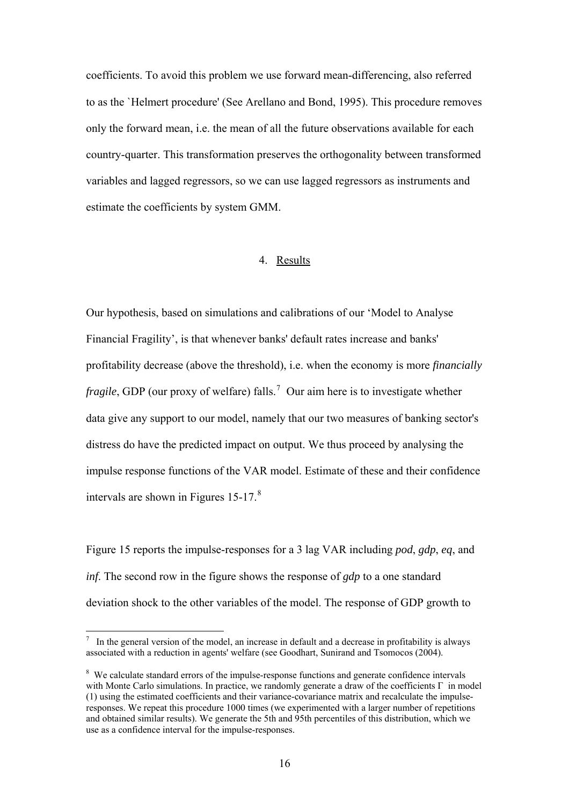coefficients. To avoid this problem we use forward mean-differencing, also referred to as the `Helmert procedure' (See Arellano and Bond, 1995). This procedure removes only the forward mean, i.e. the mean of all the future observations available for each country-quarter. This transformation preserves the orthogonality between transformed variables and lagged regressors, so we can use lagged regressors as instruments and estimate the coefficients by system GMM.

#### 4. Results

Our hypothesis, based on simulations and calibrations of our 'Model to Analyse Financial Fragility', is that whenever banks' default rates increase and banks' profitability decrease (above the threshold), i.e. when the economy is more *financially fragile*, GDP (our proxy of welfare) falls.<sup>[7](#page-15-0)</sup> Our aim here is to investigate whether data give any support to our model, namely that our two measures of banking sector's distress do have the predicted impact on output. We thus proceed by analysing the impulse response functions of the VAR model. Estimate of these and their confidence intervals are shown in Figures 15-17.<sup>[8](#page-15-1)</sup>

Figure 15 reports the impulse-responses for a 3 lag VAR including *pod*, *gdp*, *eq*, and *inf.* The second row in the figure shows the response of *gdp* to a one standard deviation shock to the other variables of the model. The response of GDP growth to

 $\overline{a}$ 

<span id="page-15-0"></span><sup>7</sup> In the general version of the model, an increase in default and a decrease in profitability is always associated with a reduction in agents' welfare (see Goodhart, Sunirand and Tsomocos (2004).

<span id="page-15-1"></span><sup>&</sup>lt;sup>8</sup> We calculate standard errors of the impulse-response functions and generate confidence intervals with Monte Carlo simulations. In practice, we randomly generate a draw of the coefficients Γ in model (1) using the estimated coefficients and their variance-covariance matrix and recalculate the impulseresponses. We repeat this procedure 1000 times (we experimented with a larger number of repetitions and obtained similar results). We generate the 5th and 95th percentiles of this distribution, which we use as a confidence interval for the impulse-responses.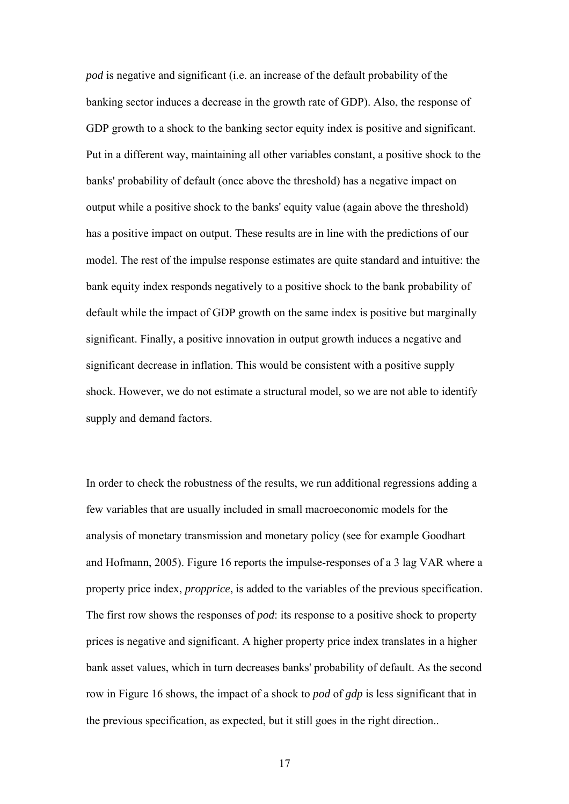*pod* is negative and significant (i.e. an increase of the default probability of the banking sector induces a decrease in the growth rate of GDP). Also, the response of GDP growth to a shock to the banking sector equity index is positive and significant. Put in a different way, maintaining all other variables constant, a positive shock to the banks' probability of default (once above the threshold) has a negative impact on output while a positive shock to the banks' equity value (again above the threshold) has a positive impact on output. These results are in line with the predictions of our model. The rest of the impulse response estimates are quite standard and intuitive: the bank equity index responds negatively to a positive shock to the bank probability of default while the impact of GDP growth on the same index is positive but marginally significant. Finally, a positive innovation in output growth induces a negative and significant decrease in inflation. This would be consistent with a positive supply shock. However, we do not estimate a structural model, so we are not able to identify supply and demand factors.

In order to check the robustness of the results, we run additional regressions adding a few variables that are usually included in small macroeconomic models for the analysis of monetary transmission and monetary policy (see for example Goodhart and Hofmann, 2005). Figure 16 reports the impulse-responses of a 3 lag VAR where a property price index, *propprice*, is added to the variables of the previous specification. The first row shows the responses of *pod*: its response to a positive shock to property prices is negative and significant. A higher property price index translates in a higher bank asset values, which in turn decreases banks' probability of default. As the second row in Figure 16 shows, the impact of a shock to *pod* of *gdp* is less significant that in the previous specification, as expected, but it still goes in the right direction..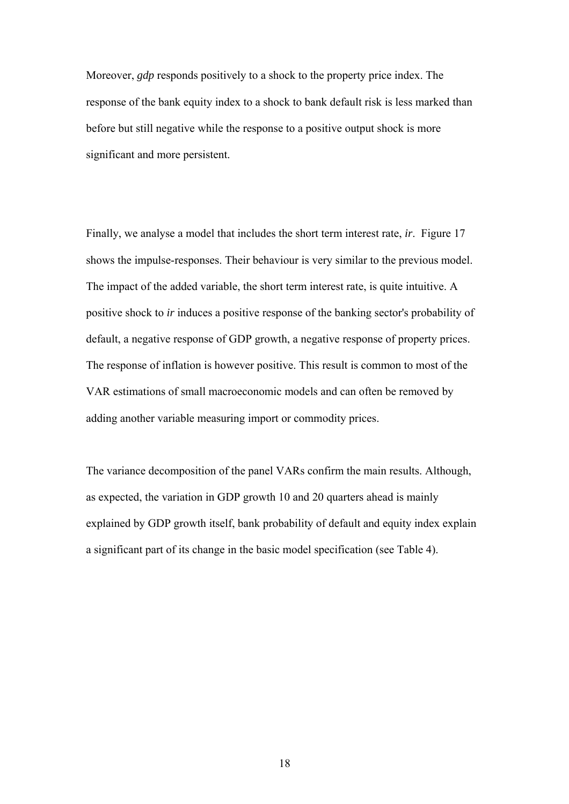Moreover, *gdp* responds positively to a shock to the property price index. The response of the bank equity index to a shock to bank default risk is less marked than before but still negative while the response to a positive output shock is more significant and more persistent.

Finally, we analyse a model that includes the short term interest rate, *ir*. Figure 17 shows the impulse-responses. Their behaviour is very similar to the previous model. The impact of the added variable, the short term interest rate, is quite intuitive. A positive shock to *ir* induces a positive response of the banking sector's probability of default, a negative response of GDP growth, a negative response of property prices. The response of inflation is however positive. This result is common to most of the VAR estimations of small macroeconomic models and can often be removed by adding another variable measuring import or commodity prices.

The variance decomposition of the panel VARs confirm the main results. Although, as expected, the variation in GDP growth 10 and 20 quarters ahead is mainly explained by GDP growth itself, bank probability of default and equity index explain a significant part of its change in the basic model specification (see Table 4).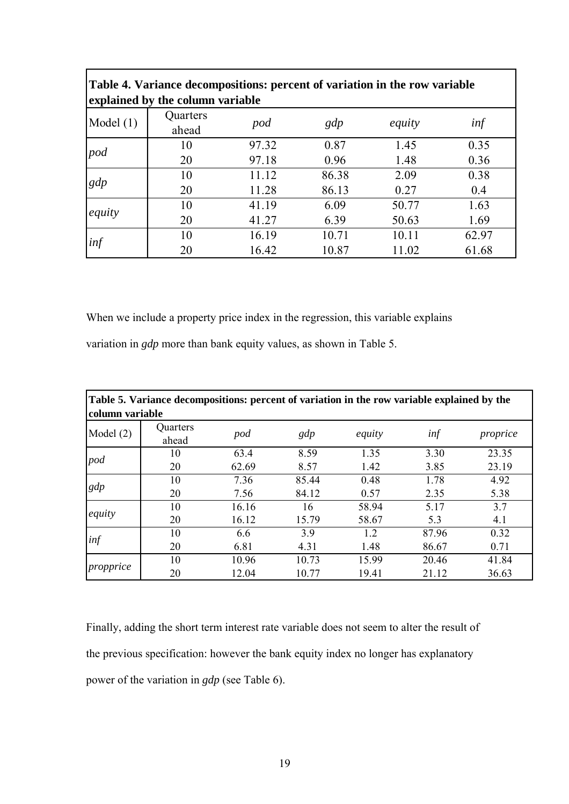| Table 4. Variance decompositions: percent of variation in the row variable<br>explained by the column variable |                   |       |       |        |       |  |  |  |  |
|----------------------------------------------------------------------------------------------------------------|-------------------|-------|-------|--------|-------|--|--|--|--|
| Model $(1)$                                                                                                    | Quarters<br>ahead | pod   | gdp   | equity | inf   |  |  |  |  |
|                                                                                                                | 10                | 97.32 | 0.87  | 1.45   | 0.35  |  |  |  |  |
| pod                                                                                                            | 20                | 97.18 | 0.96  | 1.48   | 0.36  |  |  |  |  |
|                                                                                                                | 10                | 11.12 | 86.38 | 2.09   | 0.38  |  |  |  |  |
| gdp                                                                                                            | 20                | 11.28 | 86.13 | 0.27   | 0.4   |  |  |  |  |
|                                                                                                                | 10                | 41.19 | 6.09  | 50.77  | 1.63  |  |  |  |  |
| equity                                                                                                         | 20                | 41.27 | 6.39  | 50.63  | 1.69  |  |  |  |  |
|                                                                                                                | 10                | 16.19 | 10.71 | 10.11  | 62.97 |  |  |  |  |
| inf                                                                                                            | 20                | 16.42 | 10.87 | 11.02  | 61.68 |  |  |  |  |

**Table 4. Variance decompositions: percent of variation in the row variable** 

When we include a property price index in the regression, this variable explains

variation in *gdp* more than bank equity values, as shown in Table 5.

| Table 5. Variance decompositions: percent of variation in the row variable explained by the<br>column variable |                   |       |       |        |       |          |  |  |  |
|----------------------------------------------------------------------------------------------------------------|-------------------|-------|-------|--------|-------|----------|--|--|--|
| Model $(2)$                                                                                                    | Quarters<br>ahead | pod   | gdp   | equity | inf   | proprice |  |  |  |
|                                                                                                                | 10                | 63.4  | 8.59  | 1.35   | 3.30  | 23.35    |  |  |  |
| pod                                                                                                            | 20                | 62.69 | 8.57  | 1.42   | 3.85  | 23.19    |  |  |  |
|                                                                                                                | 10                | 7.36  | 85.44 | 0.48   | 1.78  | 4.92     |  |  |  |
| gdp                                                                                                            | 20                | 7.56  | 84.12 | 0.57   | 2.35  | 5.38     |  |  |  |
|                                                                                                                | 10                | 16.16 | 16    | 58.94  | 5.17  | 3.7      |  |  |  |
| equity                                                                                                         | 20                | 16.12 | 15.79 | 58.67  | 5.3   | 4.1      |  |  |  |
|                                                                                                                | 10                | 6.6   | 3.9   | 1.2    | 87.96 | 0.32     |  |  |  |
| inf                                                                                                            | 20                | 6.81  | 4.31  | 1.48   | 86.67 | 0.71     |  |  |  |
|                                                                                                                | 10                | 10.96 | 10.73 | 15.99  | 20.46 | 41.84    |  |  |  |
| propprice                                                                                                      | 20                | 12.04 | 10.77 | 19.41  | 21.12 | 36.63    |  |  |  |

Finally, adding the short term interest rate variable does not seem to alter the result of the previous specification: however the bank equity index no longer has explanatory power of the variation in *gdp* (see Table 6).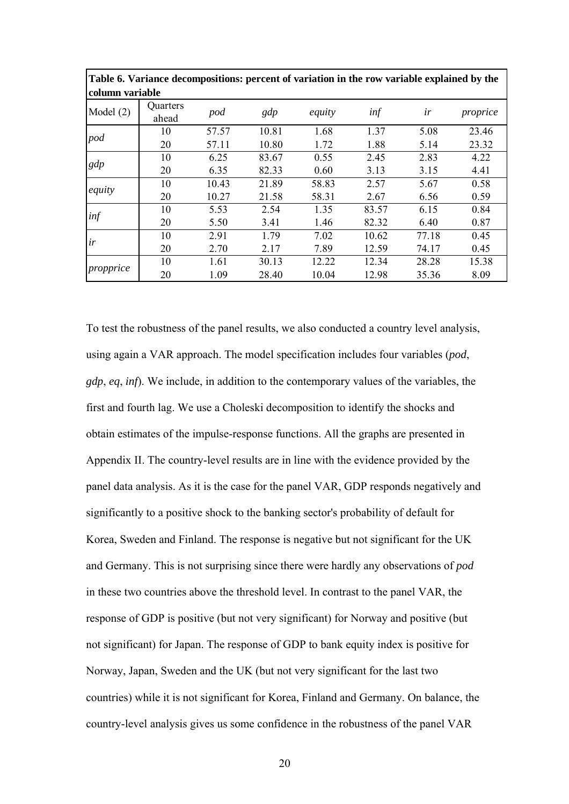| <b>Table 0.</b> Valiance decompositions. percent of valiation in the low valiable explained by the<br>column variable |                   |       |       |        |       |       |          |  |  |  |
|-----------------------------------------------------------------------------------------------------------------------|-------------------|-------|-------|--------|-------|-------|----------|--|--|--|
| Model $(2)$                                                                                                           | Quarters<br>ahead | pod   | gdp   | equity | inf   | ir    | proprice |  |  |  |
|                                                                                                                       | 10                | 57.57 | 10.81 | 1.68   | 1.37  | 5.08  | 23.46    |  |  |  |
| pod                                                                                                                   | 20                | 57.11 | 10.80 | 1.72   | 1.88  | 5.14  | 23.32    |  |  |  |
|                                                                                                                       | 10                | 6.25  | 83.67 | 0.55   | 2.45  | 2.83  | 4.22     |  |  |  |
| gdp                                                                                                                   | 20                | 6.35  | 82.33 | 0.60   | 3.13  | 3.15  | 4.41     |  |  |  |
|                                                                                                                       | 10                | 10.43 | 21.89 | 58.83  | 2.57  | 5.67  | 0.58     |  |  |  |
| equity                                                                                                                | 20                | 10.27 | 21.58 | 58.31  | 2.67  | 6.56  | 0.59     |  |  |  |
|                                                                                                                       | 10                | 5.53  | 2.54  | 1.35   | 83.57 | 6.15  | 0.84     |  |  |  |
| inf                                                                                                                   | 20                | 5.50  | 3.41  | 1.46   | 82.32 | 6.40  | 0.87     |  |  |  |
|                                                                                                                       | 10                | 2.91  | 1.79  | 7.02   | 10.62 | 77.18 | 0.45     |  |  |  |
| ir                                                                                                                    | 20                | 2.70  | 2.17  | 7.89   | 12.59 | 74.17 | 0.45     |  |  |  |
|                                                                                                                       | 10                | 1.61  | 30.13 | 12.22  | 12.34 | 28.28 | 15.38    |  |  |  |
| propprice                                                                                                             | 20                | 1.09  | 28.40 | 10.04  | 12.98 | 35.36 | 8.09     |  |  |  |

**Table 6. Variance decompositions: percent of variation in the row variable explained by the** 

To test the robustness of the panel results, we also conducted a country level analysis, using again a VAR approach. The model specification includes four variables (*pod*, *gdp*, *eq*, *inf*). We include, in addition to the contemporary values of the variables, the first and fourth lag. We use a Choleski decomposition to identify the shocks and obtain estimates of the impulse-response functions. All the graphs are presented in Appendix II. The country-level results are in line with the evidence provided by the panel data analysis. As it is the case for the panel VAR, GDP responds negatively and significantly to a positive shock to the banking sector's probability of default for Korea, Sweden and Finland. The response is negative but not significant for the UK and Germany. This is not surprising since there were hardly any observations of *pod* in these two countries above the threshold level. In contrast to the panel VAR, the response of GDP is positive (but not very significant) for Norway and positive (but not significant) for Japan. The response of GDP to bank equity index is positive for Norway, Japan, Sweden and the UK (but not very significant for the last two countries) while it is not significant for Korea, Finland and Germany. On balance, the country-level analysis gives us some confidence in the robustness of the panel VAR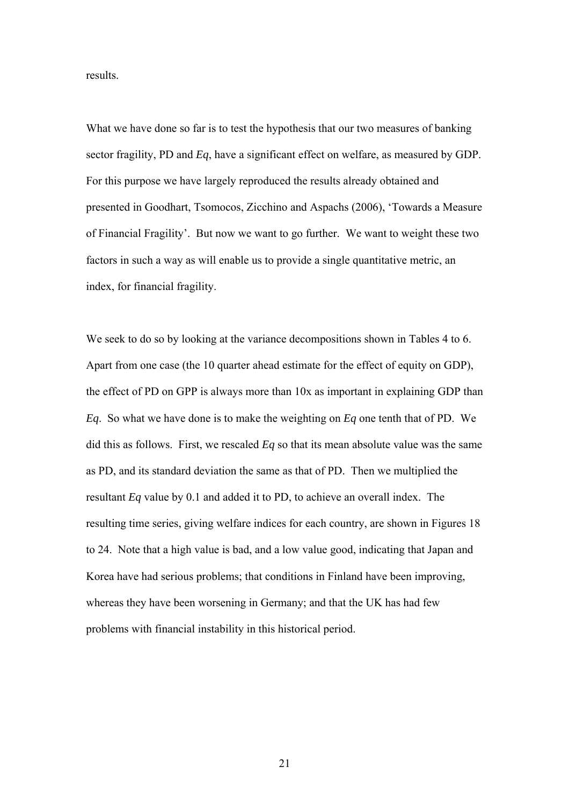results.

What we have done so far is to test the hypothesis that our two measures of banking sector fragility, PD and *Eq*, have a significant effect on welfare, as measured by GDP. For this purpose we have largely reproduced the results already obtained and presented in Goodhart, Tsomocos, Zicchino and Aspachs (2006), 'Towards a Measure of Financial Fragility'. But now we want to go further. We want to weight these two factors in such a way as will enable us to provide a single quantitative metric, an index, for financial fragility.

We seek to do so by looking at the variance decompositions shown in Tables 4 to 6. Apart from one case (the 10 quarter ahead estimate for the effect of equity on GDP), the effect of PD on GPP is always more than 10x as important in explaining GDP than *Eq*. So what we have done is to make the weighting on *Eq* one tenth that of PD. We did this as follows. First, we rescaled *Eq* so that its mean absolute value was the same as PD, and its standard deviation the same as that of PD. Then we multiplied the resultant *Eq* value by 0.1 and added it to PD, to achieve an overall index. The resulting time series, giving welfare indices for each country, are shown in Figures 18 to 24. Note that a high value is bad, and a low value good, indicating that Japan and Korea have had serious problems; that conditions in Finland have been improving, whereas they have been worsening in Germany; and that the UK has had few problems with financial instability in this historical period.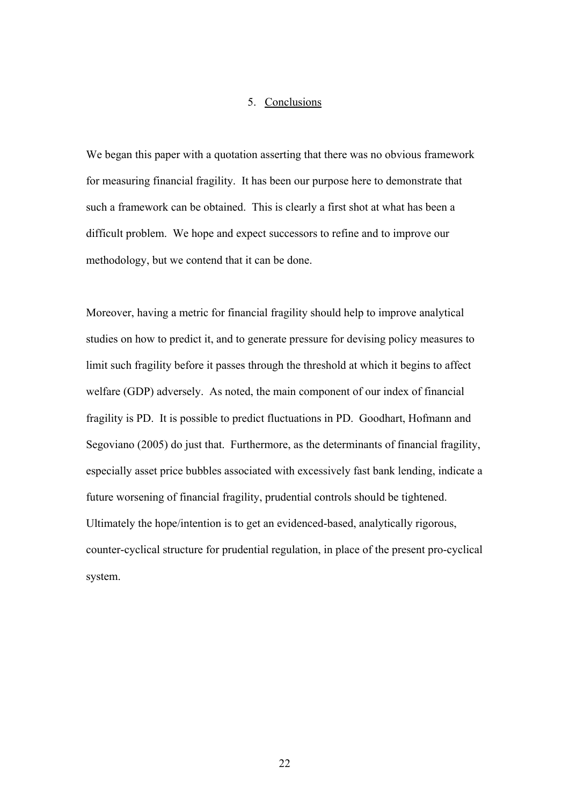## 5. Conclusions

We began this paper with a quotation asserting that there was no obvious framework for measuring financial fragility. It has been our purpose here to demonstrate that such a framework can be obtained. This is clearly a first shot at what has been a difficult problem. We hope and expect successors to refine and to improve our methodology, but we contend that it can be done.

Moreover, having a metric for financial fragility should help to improve analytical studies on how to predict it, and to generate pressure for devising policy measures to limit such fragility before it passes through the threshold at which it begins to affect welfare (GDP) adversely. As noted, the main component of our index of financial fragility is PD. It is possible to predict fluctuations in PD. Goodhart, Hofmann and Segoviano (2005) do just that. Furthermore, as the determinants of financial fragility, especially asset price bubbles associated with excessively fast bank lending, indicate a future worsening of financial fragility, prudential controls should be tightened. Ultimately the hope/intention is to get an evidenced-based, analytically rigorous, counter-cyclical structure for prudential regulation, in place of the present pro-cyclical system.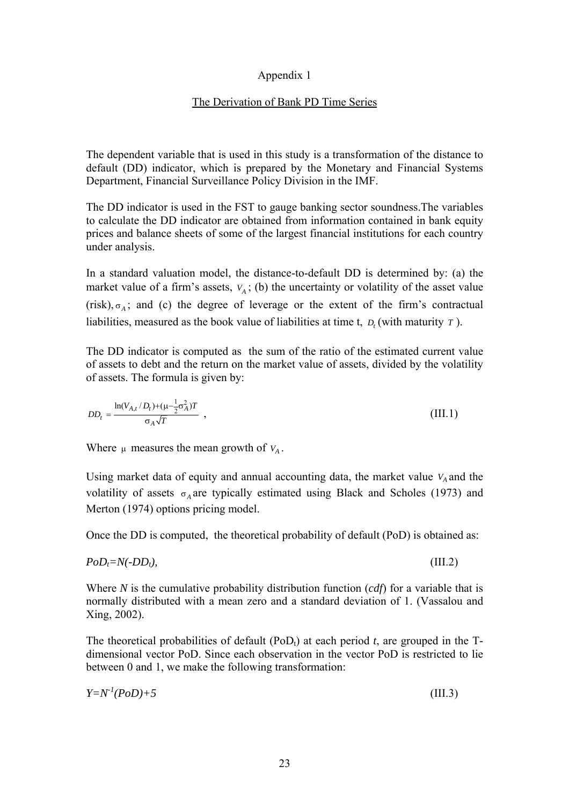## Appendix 1

## The Derivation of Bank PD Time Series

The dependent variable that is used in this study is a transformation of the distance to default (DD) indicator, which is prepared by the Monetary and Financial Systems Department, Financial Surveillance Policy Division in the IMF.

The DD indicator is used in the FST to gauge banking sector soundness.The variables to calculate the DD indicator are obtained from information contained in bank equity prices and balance sheets of some of the largest financial institutions for each country under analysis.

In a standard valuation model, the distance-to-default DD is determined by: (a) the market value of a firm's assets,  $V_A$ ; (b) the uncertainty or volatility of the asset value (risk),  $\sigma_A$ ; and (c) the degree of leverage or the extent of the firm's contractual liabilities, measured as the book value of liabilities at time t,  $D_t$  (with maturity  $T$ ).

The DD indicator is computed as the sum of the ratio of the estimated current value of assets to debt and the return on the market value of assets, divided by the volatility of assets. The formula is given by:

$$
DD_{t} = \frac{\ln(V_{A,t}/D_{t}) + (\mu - \frac{1}{2}\sigma_{A}^{2})T}{\sigma_{A}\sqrt{T}} \tag{III.1}
$$

Where  $\mu$  measures the mean growth of  $V_A$ .

Using market data of equity and annual accounting data, the market value  $V_A$  and the volatility of assets  $\sigma_A$  are typically estimated using Black and Scholes (1973) and Merton (1974) options pricing model.

Once the DD is computed, the theoretical probability of default (PoD) is obtained as:

$$
PoD_t = N(-DD_t),\tag{III.2}
$$

Where *N* is the cumulative probability distribution function (*cdf*) for a variable that is normally distributed with a mean zero and a standard deviation of 1. (Vassalou and Xing, 2002).

The theoretical probabilities of default  $(PoD<sub>t</sub>)$  at each period *t*, are grouped in the Tdimensional vector PoD. Since each observation in the vector PoD is restricted to lie between 0 and 1, we make the following transformation:

$$
Y = N^1 (PoD) + 5 \tag{III.3}
$$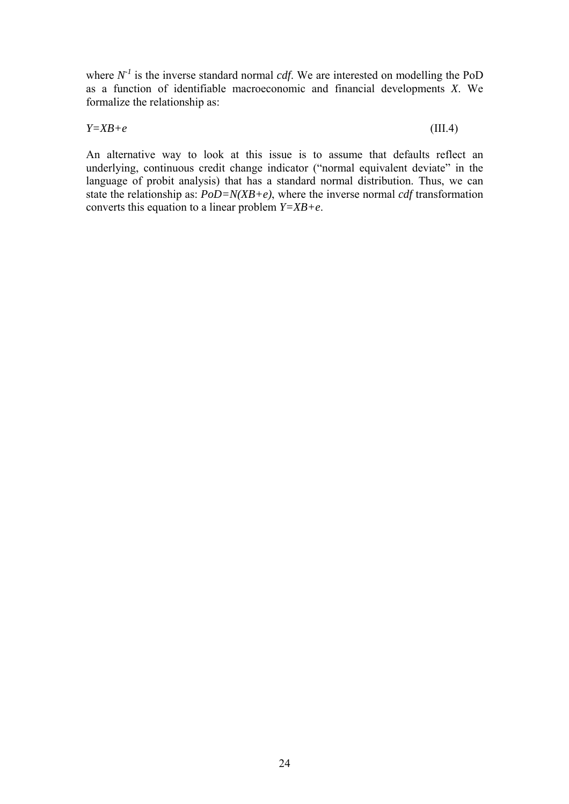where  $N^1$  is the inverse standard normal *cdf*. We are interested on modelling the PoD as a function of identifiable macroeconomic and financial developments *X*. We formalize the relationship as:

$$
Y = XB + e \tag{III.4}
$$

An alternative way to look at this issue is to assume that defaults reflect an underlying, continuous credit change indicator ("normal equivalent deviate" in the language of probit analysis) that has a standard normal distribution. Thus, we can state the relationship as:  $PoD=N(XB+e)$ , where the inverse normal *cdf* transformation converts this equation to a linear problem *Y=XB+e*.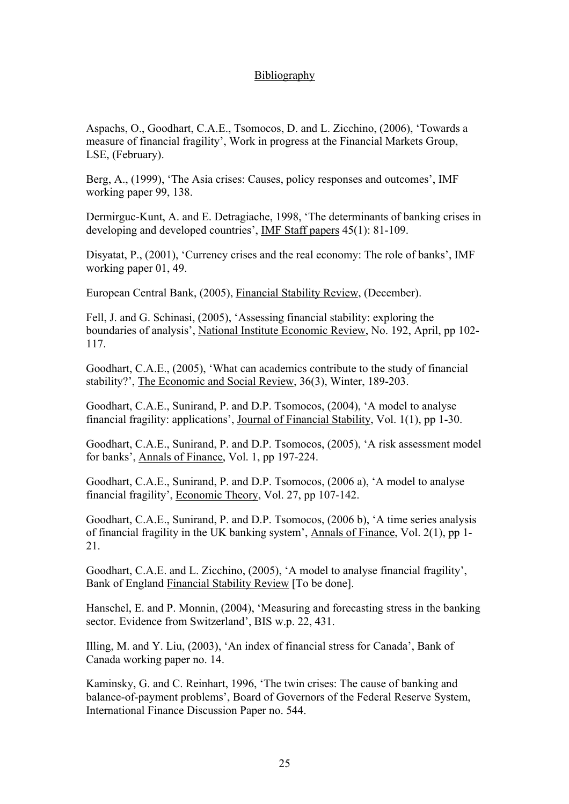## **Bibliography**

Aspachs, O., Goodhart, C.A.E., Tsomocos, D. and L. Zicchino, (2006), 'Towards a measure of financial fragility', Work in progress at the Financial Markets Group, LSE, (February).

Berg, A., (1999), 'The Asia crises: Causes, policy responses and outcomes', IMF working paper 99, 138.

Dermirguc-Kunt, A. and E. Detragiache, 1998, 'The determinants of banking crises in developing and developed countries', IMF Staff papers 45(1): 81-109.

Disyatat, P., (2001), 'Currency crises and the real economy: The role of banks', IMF working paper 01, 49.

European Central Bank, (2005), Financial Stability Review, (December).

Fell, J. and G. Schinasi, (2005), 'Assessing financial stability: exploring the boundaries of analysis', National Institute Economic Review, No. 192, April, pp 102- 117.

Goodhart, C.A.E., (2005), 'What can academics contribute to the study of financial stability?', The Economic and Social Review, 36(3), Winter, 189-203.

Goodhart, C.A.E., Sunirand, P. and D.P. Tsomocos, (2004), 'A model to analyse financial fragility: applications', Journal of Financial Stability, Vol. 1(1), pp 1-30.

Goodhart, C.A.E., Sunirand, P. and D.P. Tsomocos, (2005), 'A risk assessment model for banks', Annals of Finance, Vol. 1, pp 197-224.

Goodhart, C.A.E., Sunirand, P. and D.P. Tsomocos, (2006 a), 'A model to analyse financial fragility', Economic Theory, Vol. 27, pp 107-142.

Goodhart, C.A.E., Sunirand, P. and D.P. Tsomocos, (2006 b), 'A time series analysis of financial fragility in the UK banking system', Annals of Finance, Vol. 2(1), pp 1- 21.

Goodhart, C.A.E. and L. Zicchino, (2005), 'A model to analyse financial fragility', Bank of England Financial Stability Review [To be done].

Hanschel, E. and P. Monnin, (2004), 'Measuring and forecasting stress in the banking sector. Evidence from Switzerland', BIS w.p. 22, 431.

Illing, M. and Y. Liu, (2003), 'An index of financial stress for Canada', Bank of Canada working paper no. 14.

Kaminsky, G. and C. Reinhart, 1996, 'The twin crises: The cause of banking and balance-of-payment problems', Board of Governors of the Federal Reserve System, International Finance Discussion Paper no. 544.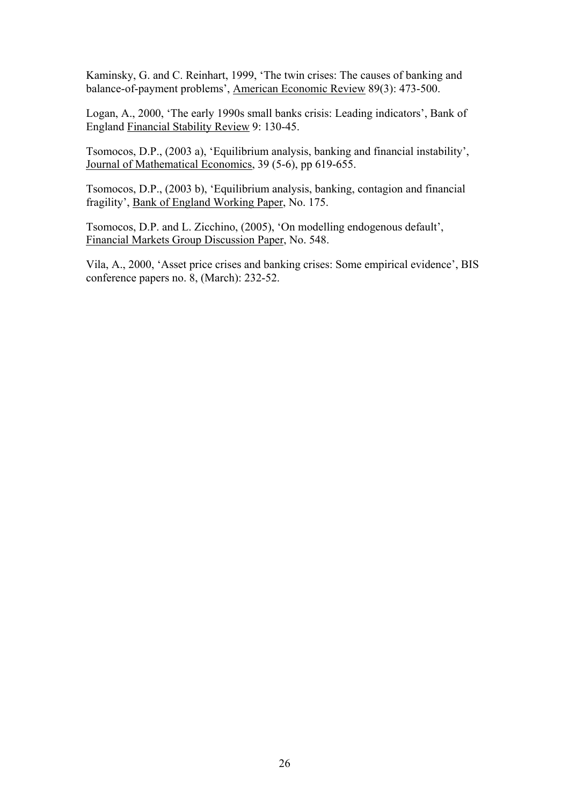Kaminsky, G. and C. Reinhart, 1999, 'The twin crises: The causes of banking and balance-of-payment problems', American Economic Review 89(3): 473-500.

Logan, A., 2000, 'The early 1990s small banks crisis: Leading indicators', Bank of England Financial Stability Review 9: 130-45.

Tsomocos, D.P., (2003 a), 'Equilibrium analysis, banking and financial instability', Journal of Mathematical Economics, 39 (5-6), pp 619-655.

Tsomocos, D.P., (2003 b), 'Equilibrium analysis, banking, contagion and financial fragility', Bank of England Working Paper, No. 175.

Tsomocos, D.P. and L. Zicchino, (2005), 'On modelling endogenous default', Financial Markets Group Discussion Paper, No. 548.

Vila, A., 2000, 'Asset price crises and banking crises: Some empirical evidence', BIS conference papers no. 8, (March): 232-52.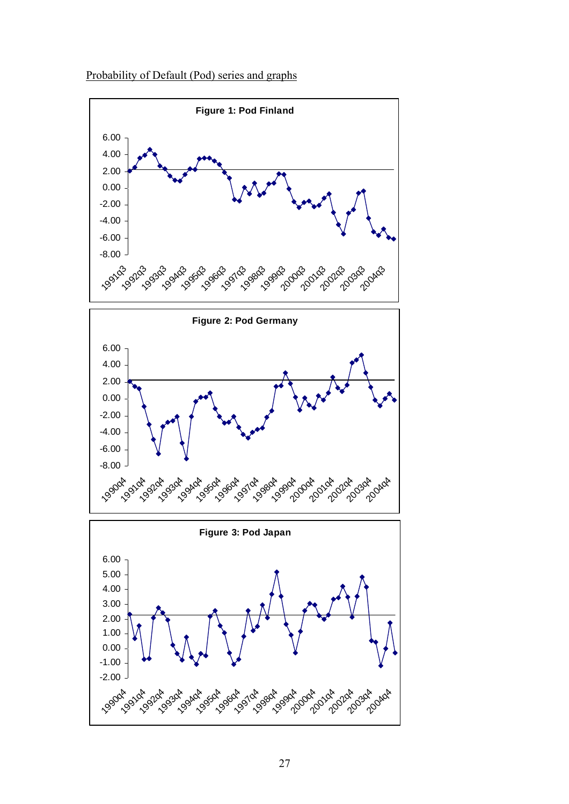

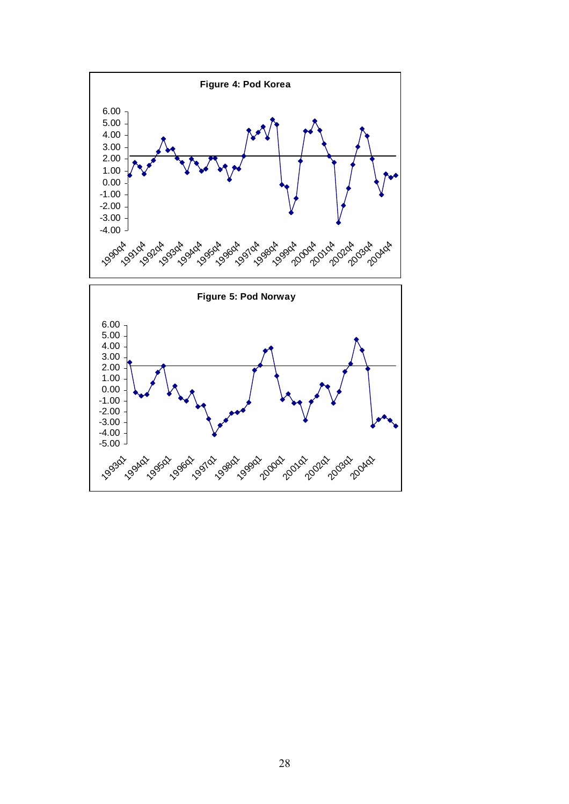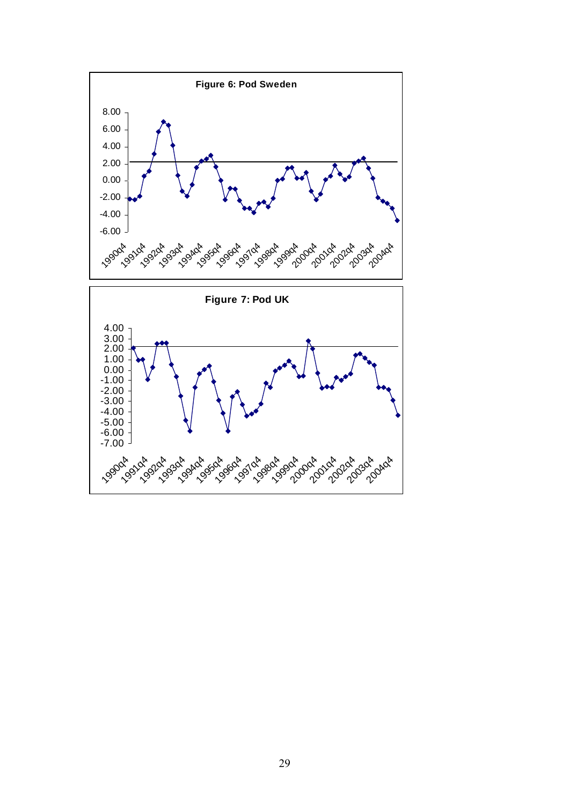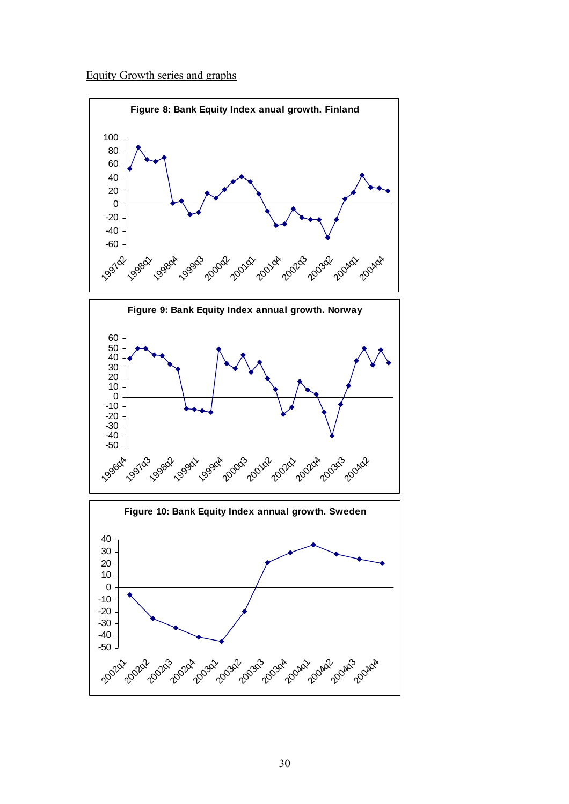Equity Growth series and graphs





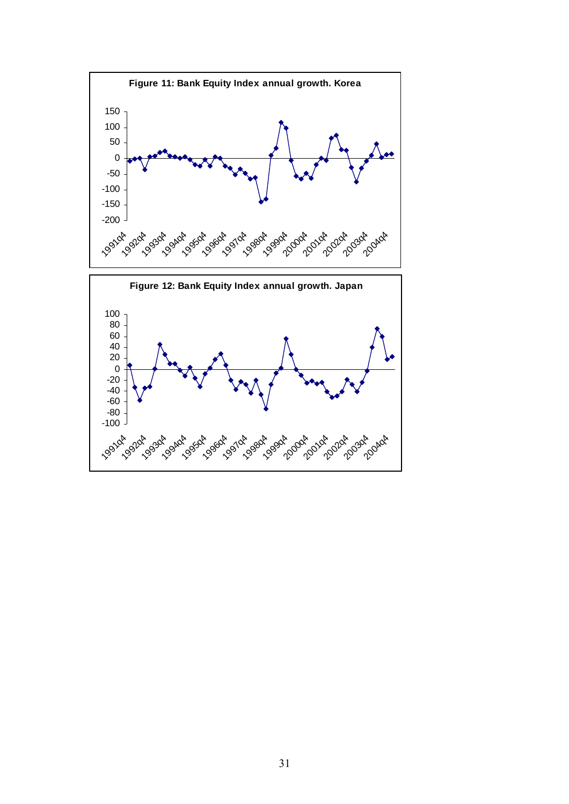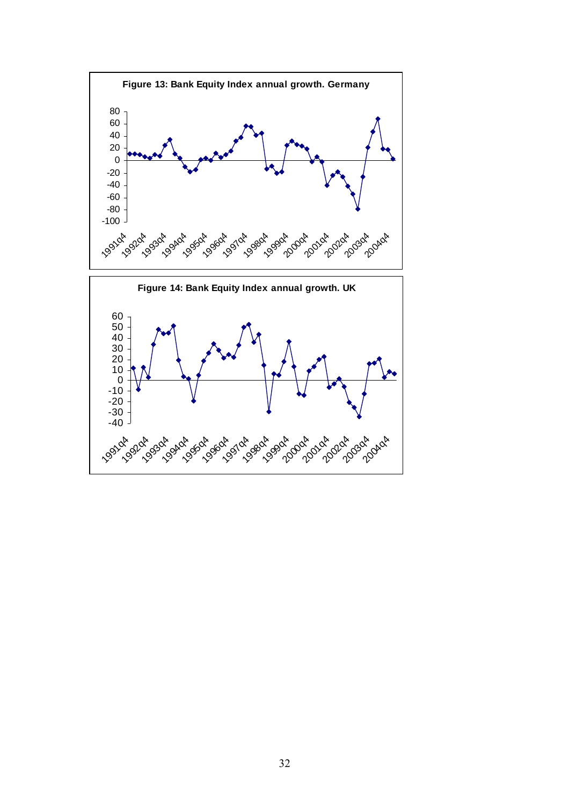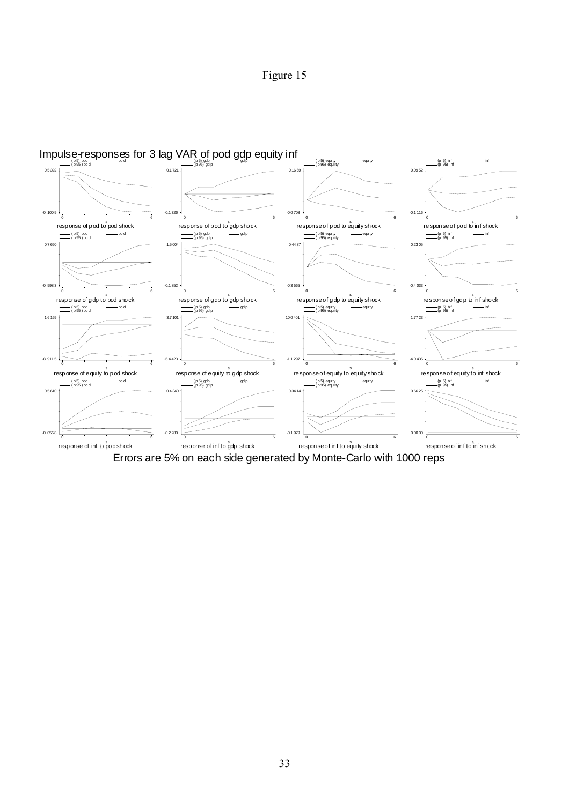

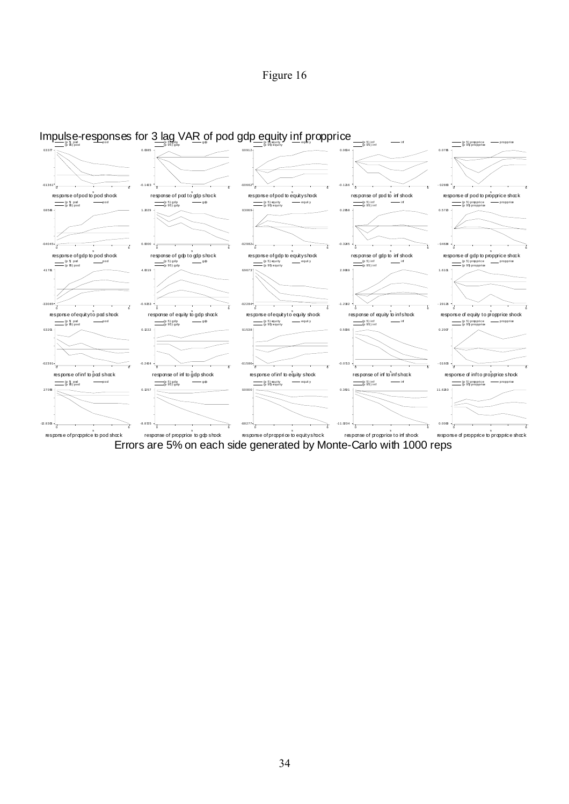## Figure 16



Errors are 5% on each side generated by Monte-Carlo with 1000 reps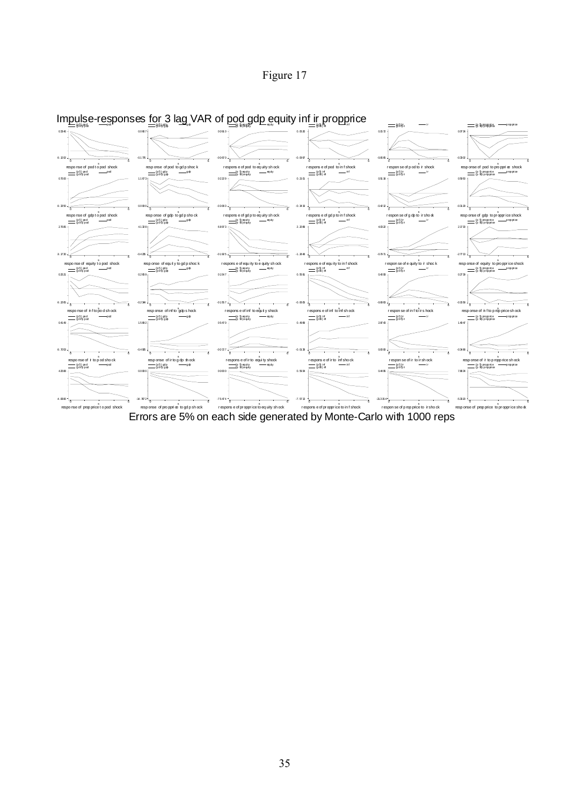# Figure 17



Impulse-responses for 3 lag, VAR of pod gdp equity inf ir propprice

Errors are 5% on each side generated by Monte-Carlo with 1000 reps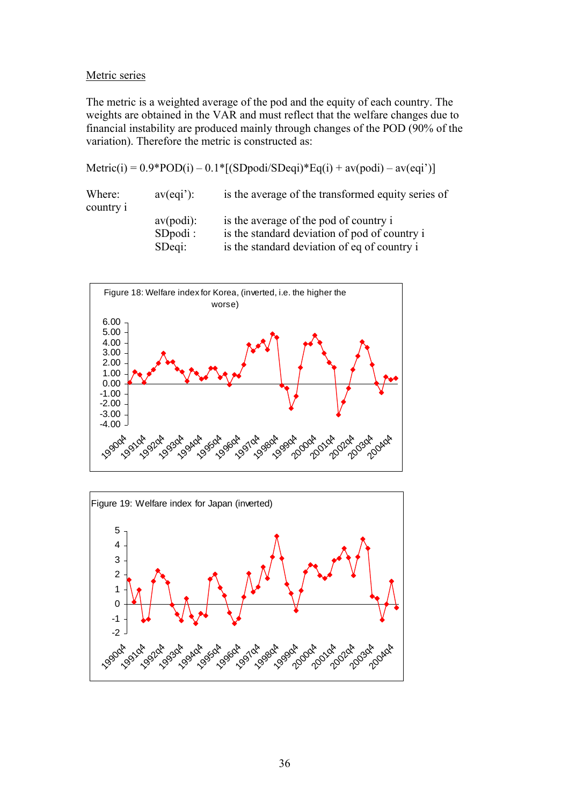#### Metric series

The metric is a weighted average of the pod and the equity of each country. The weights are obtained in the VAR and must reflect that the welfare changes due to financial instability are produced mainly through changes of the POD (90% of the variation). Therefore the metric is constructed as:

Metric(i) =  $0.9*POD(i) - 0.1*[(SDpodi/SDegi)*Eq(i) + av(podi) - av(eqi')]$ 





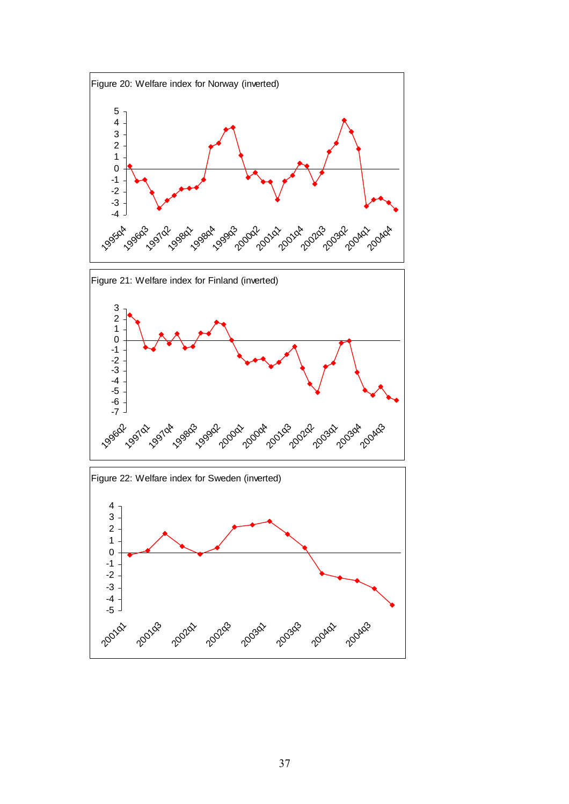